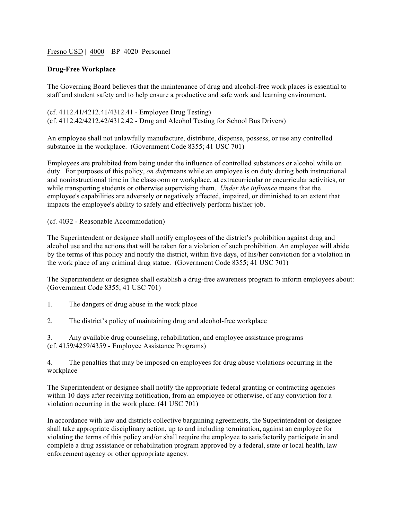## Fresno USD | 4000 | BP 4020 Personnel

## **Drug-Free Workplace**

The Governing Board believes that the maintenance of drug and alcohol-free work places is essential to staff and student safety and to help ensure a productive and safe work and learning environment.

(cf. 4112.41/4212.41/4312.41 - Employee Drug Testing) (cf. 4112.42/4212.42/4312.42 - Drug and Alcohol Testing for School Bus Drivers)

An employee shall not unlawfully manufacture, distribute, dispense, possess, or use any controlled substance in the workplace. (Government Code 8355; 41 USC 701)

Employees are prohibited from being under the influence of controlled substances or alcohol while on duty. For purposes of this policy, *on duty*means while an employee is on duty during both instructional and noninstructional time in the classroom or workplace, at extracurricular or cocurricular activities, or while transporting students or otherwise supervising them. *Under the influence* means that the employee's capabilities are adversely or negatively affected, impaired, or diminished to an extent that impacts the employee's ability to safely and effectively perform his/her job.

## (cf. 4032 - Reasonable Accommodation)

The Superintendent or designee shall notify employees of the district's prohibition against drug and alcohol use and the actions that will be taken for a violation of such prohibition. An employee will abide by the terms of this policy and notify the district, within five days, of his/her conviction for a violation in the work place of any criminal drug statue. (Government Code 8355; 41 USC 701)

The Superintendent or designee shall establish a drug-free awareness program to inform employees about: (Government Code 8355; 41 USC 701)

- 1. The dangers of drug abuse in the work place
- 2. The district's policy of maintaining drug and alcohol-free workplace
- 3. Any available drug counseling, rehabilitation, and employee assistance programs (cf. 4159/4259/4359 - Employee Assistance Programs)

4. The penalties that may be imposed on employees for drug abuse violations occurring in the workplace

The Superintendent or designee shall notify the appropriate federal granting or contracting agencies within 10 days after receiving notification, from an employee or otherwise, of any conviction for a violation occurring in the work place. (41 USC 701)

In accordance with law and districts collective bargaining agreements, the Superintendent or designee shall take appropriate disciplinary action, up to and including termination**,** against an employee for violating the terms of this policy and/or shall require the employee to satisfactorily participate in and complete a drug assistance or rehabilitation program approved by a federal, state or local health, law enforcement agency or other appropriate agency.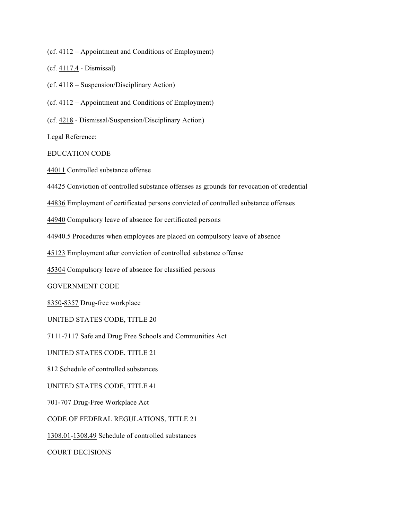(cf. 4112 – Appointment and Conditions of Employment)

(cf. 4117.4 - Dismissal)

(cf. 4118 – Suspension/Disciplinary Action)

(cf. 4112 – Appointment and Conditions of Employment)

(cf. 4218 - Dismissal/Suspension/Disciplinary Action)

Legal Reference:

EDUCATION CODE

44011 Controlled substance offense

44425 Conviction of controlled substance offenses as grounds for revocation of credential

44836 Employment of certificated persons convicted of controlled substance offenses

44940 Compulsory leave of absence for certificated persons

44940.5 Procedures when employees are placed on compulsory leave of absence

45123 Employment after conviction of controlled substance offense

45304 Compulsory leave of absence for classified persons

GOVERNMENT CODE

8350-8357 Drug-free workplace

UNITED STATES CODE, TITLE 20

7111-7117 Safe and Drug Free Schools and Communities Act

UNITED STATES CODE, TITLE 21

812 Schedule of controlled substances

UNITED STATES CODE, TITLE 41

701-707 Drug-Free Workplace Act

CODE OF FEDERAL REGULATIONS, TITLE 21

1308.01-1308.49 Schedule of controlled substances

COURT DECISIONS